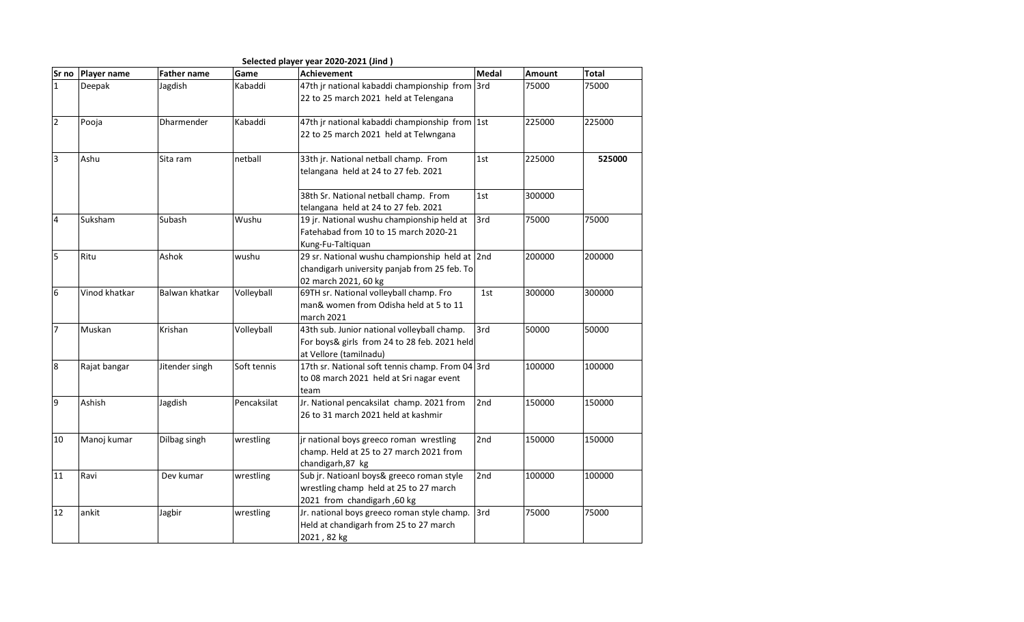|                  |               |                    |             | Selected player year 2020-2021 (Jind)            |       |        |              |
|------------------|---------------|--------------------|-------------|--------------------------------------------------|-------|--------|--------------|
| Sr no            | Player name   | <b>Father name</b> | Game        | <b>Achievement</b>                               | Medal | Amount | <b>Total</b> |
| $\mathbf{1}$     | Deepak        | Jagdish            | Kabaddi     | 47th jr national kabaddi championship from       | 3rd   | 75000  | 75000        |
|                  |               |                    |             | 22 to 25 march 2021 held at Telengana            |       |        |              |
| $\overline{2}$   | Pooja         | Dharmender         | Kabaddi     | 47th jr national kabaddi championship from 1st   |       | 225000 | 225000       |
|                  |               |                    |             | 22 to 25 march 2021 held at Telwngana            |       |        |              |
| $\overline{3}$   | Ashu          | Sita ram           | netball     | 33th jr. National netball champ. From            | 1st   | 225000 | 525000       |
|                  |               |                    |             | telangana held at 24 to 27 feb. 2021             |       |        |              |
|                  |               |                    |             | 38th Sr. National netball champ. From            | 1st   | 300000 |              |
|                  |               |                    |             | telangana held at 24 to 27 feb. 2021             |       |        |              |
| $\overline{4}$   | Suksham       | Subash             | Wushu       | 19 jr. National wushu championship held at       | 3rd   | 75000  | 75000        |
|                  |               |                    |             | Fatehabad from 10 to 15 march 2020-21            |       |        |              |
|                  |               |                    |             | Kung-Fu-Taltiquan                                |       |        |              |
| 5                | Ritu          | Ashok              | wushu       | 29 sr. National wushu championship held at 2nd   |       | 200000 | 200000       |
|                  |               |                    |             | chandigarh university panjab from 25 feb. To     |       |        |              |
|                  |               |                    |             | 02 march 2021, 60 kg                             |       |        |              |
| $6\phantom{a}$   | Vinod khatkar | Balwan khatkar     | Volleyball  | 69TH sr. National volleyball champ. Fro          | 1st   | 300000 | 300000       |
|                  |               |                    |             | man& women from Odisha held at 5 to 11           |       |        |              |
|                  |               |                    |             | march 2021                                       |       |        |              |
| $\overline{7}$   | Muskan        | Krishan            | Volleyball  | 43th sub. Junior national volleyball champ.      | 3rd   | 50000  | 50000        |
|                  |               |                    |             | For boys& girls from 24 to 28 feb. 2021 held     |       |        |              |
|                  |               |                    |             | at Vellore (tamilnadu)                           |       |        |              |
| $\boldsymbol{8}$ | Rajat bangar  | Jitender singh     | Soft tennis | 17th sr. National soft tennis champ. From 04 3rd |       | 100000 | 100000       |
|                  |               |                    |             | to 08 march 2021 held at Sri nagar event         |       |        |              |
|                  |               |                    |             | team                                             |       |        |              |
| 9                | Ashish        | Jagdish            | Pencaksilat | Jr. National pencaksilat champ. 2021 from        | 2nd   | 150000 | 150000       |
|                  |               |                    |             | 26 to 31 march 2021 held at kashmir              |       |        |              |
| 10               | Manoj kumar   | Dilbag singh       | wrestling   | jr national boys greeco roman wrestling          | 2nd   | 150000 | 150000       |
|                  |               |                    |             | champ. Held at 25 to 27 march 2021 from          |       |        |              |
|                  |               |                    |             | chandigarh,87 kg                                 |       |        |              |
| 11               | Ravi          | Dev kumar          | wrestling   | Sub jr. Natioanl boys& greeco roman style        | 2nd   | 100000 | 100000       |
|                  |               |                    |             | wrestling champ held at 25 to 27 march           |       |        |              |
|                  |               |                    |             | 2021 from chandigarh, 60 kg                      |       |        |              |
| 12               | ankit         | Jagbir             | wrestling   | Jr. national boys greeco roman style champ.      | 3rd   | 75000  | 75000        |
|                  |               |                    |             | Held at chandigarh from 25 to 27 march           |       |        |              |
|                  |               |                    |             | 2021, 82 kg                                      |       |        |              |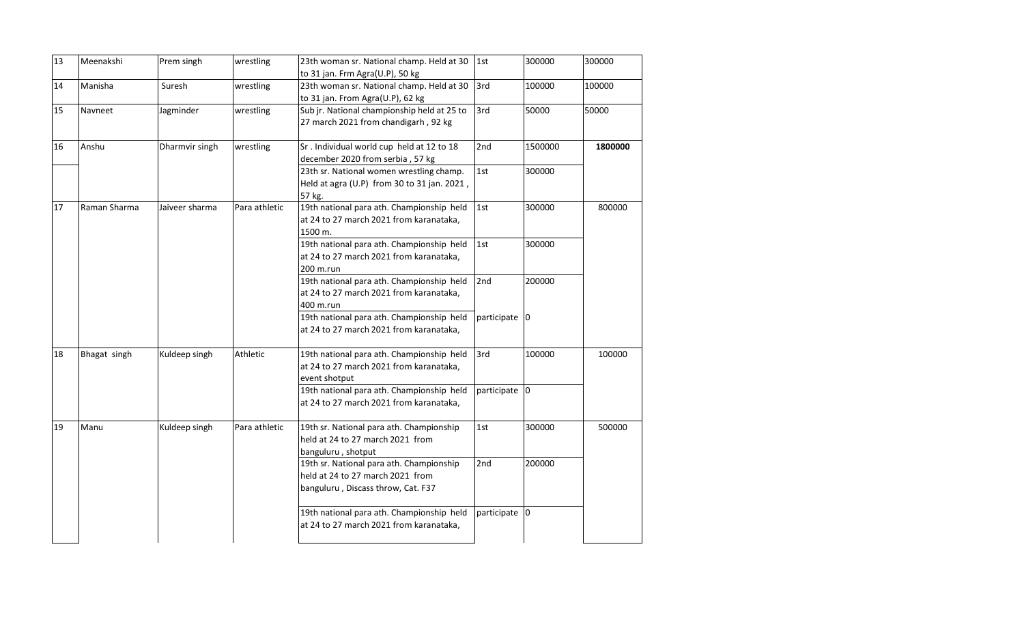| 13 | Meenakshi    | Prem singh     | wrestling     | 23th woman sr. National champ. Held at 30<br>to 31 jan. Frm Agra(U.P), 50 kg                                       | 1st               | 300000  | 300000  |
|----|--------------|----------------|---------------|--------------------------------------------------------------------------------------------------------------------|-------------------|---------|---------|
| 14 | Manisha      | Suresh         | wrestling     | 23th woman sr. National champ. Held at 30<br>to 31 jan. From Agra(U.P), 62 kg                                      | 3rd               | 100000  | 100000  |
| 15 | Navneet      | Jagminder      | wrestling     | Sub jr. National championship held at 25 to<br>27 march 2021 from chandigarh, 92 kg                                | 3rd               | 50000   | 50000   |
| 16 | Anshu        | Dharmvir singh | wrestling     | Sr. Individual world cup held at 12 to 18<br>december 2020 from serbia, 57 kg                                      | 2nd               | 1500000 | 1800000 |
|    |              |                |               | 23th sr. National women wrestling champ.<br>Held at agra (U.P) from 30 to 31 jan. 2021,<br>57 kg.                  | 1st               | 300000  |         |
| 17 | Raman Sharma | Jaiveer sharma | Para athletic | 19th national para ath. Championship held<br>at 24 to 27 march 2021 from karanataka,<br>1500 m.                    | 1st               | 300000  | 800000  |
|    |              |                |               | 19th national para ath. Championship held<br>at 24 to 27 march 2021 from karanataka,<br>200 m.run                  | 1st               | 300000  |         |
|    |              |                |               | 19th national para ath. Championship held<br>at 24 to 27 march 2021 from karanataka,<br>400 m.run                  | 2nd               | 200000  |         |
|    |              |                |               | 19th national para ath. Championship held<br>at 24 to 27 march 2021 from karanataka,                               | participate 0     |         |         |
| 18 | Bhagat singh | Kuldeep singh  | Athletic      | 19th national para ath. Championship held<br>at 24 to 27 march 2021 from karanataka,<br>event shotput              | 3rd               | 100000  | 100000  |
|    |              |                |               | 19th national para ath. Championship held<br>at 24 to 27 march 2021 from karanataka,                               | participate $ 0 $ |         |         |
| 19 | Manu         | Kuldeep singh  | Para athletic | 19th sr. National para ath. Championship<br>held at 24 to 27 march 2021 from<br>banguluru, shotput                 | 1st               | 300000  | 500000  |
|    |              |                |               | 19th sr. National para ath. Championship<br>held at 24 to 27 march 2021 from<br>banguluru, Discass throw, Cat. F37 | 2nd               | 200000  |         |
|    |              |                |               | 19th national para ath. Championship held<br>at 24 to 27 march 2021 from karanataka,                               | participate 0     |         |         |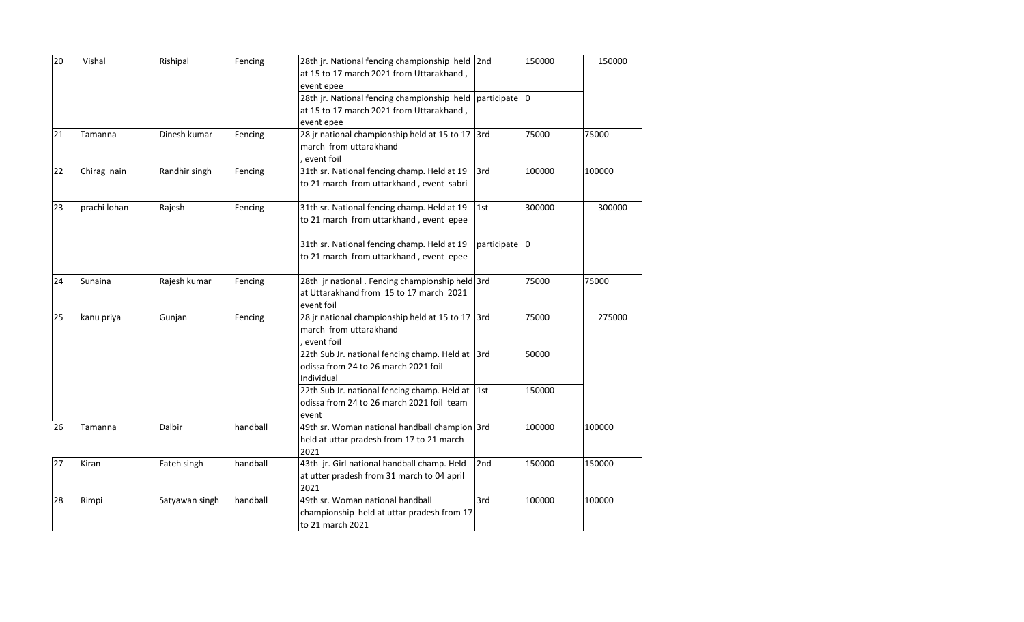| 20 | Vishal       | Rishipal       | Fencing  | 28th jr. National fencing championship held 2nd<br>at 15 to 17 march 2021 from Uttarakhand,                         |               | 150000 | 150000 |
|----|--------------|----------------|----------|---------------------------------------------------------------------------------------------------------------------|---------------|--------|--------|
|    |              |                |          | event epee                                                                                                          |               |        |        |
|    |              |                |          | 28th jr. National fencing championship held participate 0<br>at 15 to 17 march 2021 from Uttarakhand,<br>event epee |               |        |        |
| 21 | Tamanna      | Dinesh kumar   | Fencing  | 28 jr national championship held at 15 to 17 3rd<br>march from uttarakhand<br>event foil                            |               | 75000  | 75000  |
| 22 | Chirag nain  | Randhir singh  | Fencing  | 31th sr. National fencing champ. Held at 19<br>to 21 march from uttarkhand, event sabri                             | 3rd           | 100000 | 100000 |
| 23 | prachi lohan | Rajesh         | Fencing  | 31th sr. National fencing champ. Held at 19<br>to 21 march from uttarkhand, event epee                              | 1st           | 300000 | 300000 |
|    |              |                |          | 31th sr. National fencing champ. Held at 19<br>to 21 march from uttarkhand, event epee                              | participate 0 |        |        |
| 24 | Sunaina      | Rajesh kumar   | Fencing  | 28th jr national . Fencing championship held 3rd<br>at Uttarakhand from 15 to 17 march 2021<br>event foil           |               | 75000  | 75000  |
| 25 | kanu priya   | Gunjan         | Fencing  | 28 jr national championship held at 15 to 17 3rd<br>march from uttarakhand<br>event foil                            |               | 75000  | 275000 |
|    |              |                |          | 22th Sub Jr. national fencing champ. Held at 3rd<br>odissa from 24 to 26 march 2021 foil<br>Individual              |               | 50000  |        |
|    |              |                |          | 22th Sub Jr. national fencing champ. Held at 1st<br>odissa from 24 to 26 march 2021 foil team<br>event              |               | 150000 |        |
| 26 | Tamanna      | Dalbir         | handball | 49th sr. Woman national handball champion 3rd<br>held at uttar pradesh from 17 to 21 march<br>2021                  |               | 100000 | 100000 |
| 27 | Kiran        | Fateh singh    | handball | 43th jr. Girl national handball champ. Held<br>at utter pradesh from 31 march to 04 april<br>2021                   | 2nd           | 150000 | 150000 |
| 28 | Rimpi        | Satyawan singh | handball | 49th sr. Woman national handball<br>championship held at uttar pradesh from 17<br>to 21 march 2021                  | 3rd           | 100000 | 100000 |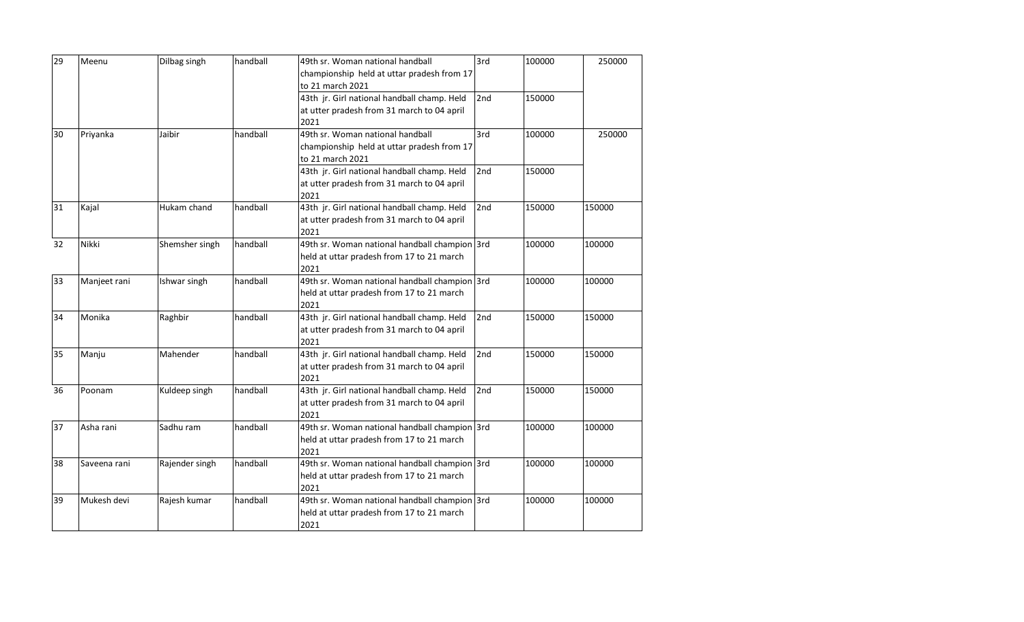| 29 | Meenu        | Dilbag singh   | handball | 49th sr. Woman national handball              | 3rd             | 100000 | 250000 |
|----|--------------|----------------|----------|-----------------------------------------------|-----------------|--------|--------|
|    |              |                |          | championship held at uttar pradesh from 17    |                 |        |        |
|    |              |                |          | to 21 march 2021                              |                 |        |        |
|    |              |                |          | 43th jr. Girl national handball champ. Held   | 2nd             | 150000 |        |
|    |              |                |          | at utter pradesh from 31 march to 04 april    |                 |        |        |
|    |              |                |          | 2021                                          |                 |        |        |
| 30 | Priyanka     | Jaibir         | handball | 49th sr. Woman national handball              | 3rd             | 100000 | 250000 |
|    |              |                |          | championship held at uttar pradesh from 17    |                 |        |        |
|    |              |                |          | to 21 march 2021                              |                 |        |        |
|    |              |                |          | 43th jr. Girl national handball champ. Held   | 2 <sub>nd</sub> | 150000 |        |
|    |              |                |          | at utter pradesh from 31 march to 04 april    |                 |        |        |
|    |              |                |          | 2021                                          |                 |        |        |
| 31 | Kajal        | Hukam chand    | handball | 43th jr. Girl national handball champ. Held   | 2nd             | 150000 | 150000 |
|    |              |                |          | at utter pradesh from 31 march to 04 april    |                 |        |        |
|    |              |                |          | 2021                                          |                 |        |        |
| 32 | Nikki        | Shemsher singh | handball | 49th sr. Woman national handball champion 3rd |                 | 100000 | 100000 |
|    |              |                |          | held at uttar pradesh from 17 to 21 march     |                 |        |        |
|    |              |                |          | 2021                                          |                 |        |        |
| 33 | Manjeet rani | Ishwar singh   | handball | 49th sr. Woman national handball champion 3rd |                 | 100000 | 100000 |
|    |              |                |          | held at uttar pradesh from 17 to 21 march     |                 |        |        |
|    |              |                |          | 2021                                          |                 |        |        |
| 34 | Monika       | Raghbir        | handball | 43th jr. Girl national handball champ. Held   | 2nd             | 150000 | 150000 |
|    |              |                |          | at utter pradesh from 31 march to 04 april    |                 |        |        |
|    |              |                |          | 2021                                          |                 |        |        |
| 35 | Manju        | Mahender       | handball | 43th jr. Girl national handball champ. Held   | 2nd             | 150000 | 150000 |
|    |              |                |          | at utter pradesh from 31 march to 04 april    |                 |        |        |
|    |              |                |          | 2021                                          |                 |        |        |
| 36 | Poonam       | Kuldeep singh  | handball | 43th jr. Girl national handball champ. Held   | 2nd             | 150000 | 150000 |
|    |              |                |          | at utter pradesh from 31 march to 04 april    |                 |        |        |
|    |              |                |          | 2021                                          |                 |        |        |
| 37 | Asha rani    | Sadhu ram      | handball | 49th sr. Woman national handball champion 3rd |                 | 100000 | 100000 |
|    |              |                |          | held at uttar pradesh from 17 to 21 march     |                 |        |        |
|    |              |                |          | 2021                                          |                 |        |        |
| 38 | Saveena rani | Rajender singh | handball | 49th sr. Woman national handball champion 3rd |                 | 100000 | 100000 |
|    |              |                |          | held at uttar pradesh from 17 to 21 march     |                 |        |        |
|    |              |                |          | 2021                                          |                 |        |        |
| 39 | Mukesh devi  | Rajesh kumar   | handball | 49th sr. Woman national handball champion 3rd |                 | 100000 | 100000 |
|    |              |                |          | held at uttar pradesh from 17 to 21 march     |                 |        |        |
|    |              |                |          | 2021                                          |                 |        |        |